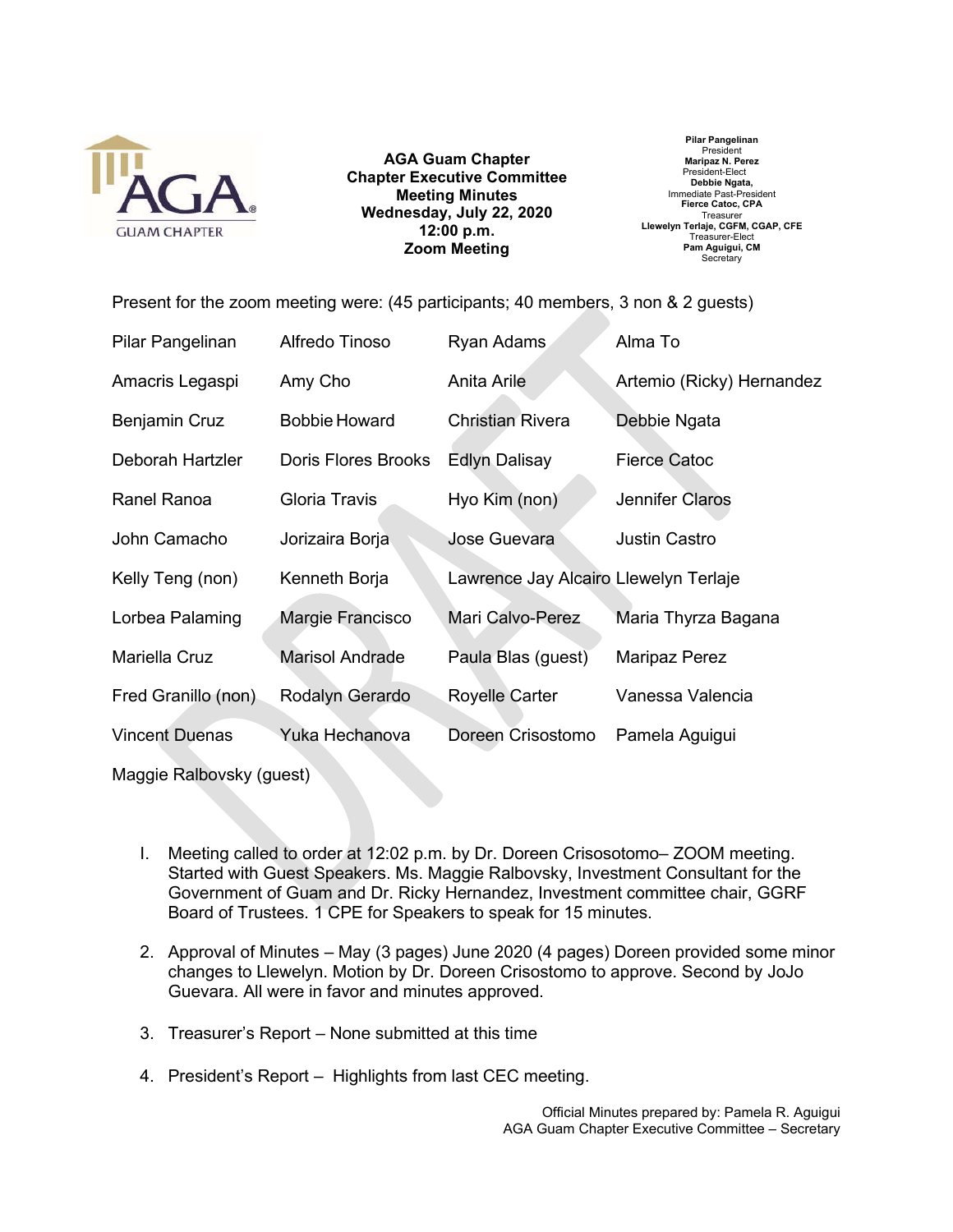

**AGA Guam Chapter Chapter Executive Committee Meeting Minutes Wednesday, July 22, 2020 12:00 p.m. Zoom Meeting**

**Pilar Pangelinan** President **Maripaz N. Perez** President-Elect **Debbie Ngata,** Immediate Past-President **Fierce Catoc, CPA Treasure Llewelyn Terlaje, CGFM, CGAP, CFE** Treasurer-Elect **Pam Aguigui, CM Secretary** 

Present for the zoom meeting were: (45 participants; 40 members, 3 non & 2 guests)

| Pilar Pangelinan      | Alfredo Tinoso             | Ryan Adams                            | Alma To                   |
|-----------------------|----------------------------|---------------------------------------|---------------------------|
| Amacris Legaspi       | Amy Cho                    | Anita Arile                           | Artemio (Ricky) Hernandez |
| Benjamin Cruz         | <b>Bobbie Howard</b>       | <b>Christian Rivera</b>               | Debbie Ngata              |
| Deborah Hartzler      | <b>Doris Flores Brooks</b> | <b>Edlyn Dalisay</b>                  | <b>Fierce Catoc</b>       |
| Ranel Ranoa           | Gloria Travis              | Hyo Kim (non)                         | <b>Jennifer Claros</b>    |
| John Camacho          | Jorizaira Borja            | <b>Jose Guevara</b>                   | <b>Justin Castro</b>      |
| Kelly Teng (non)      | Kenneth Borja              | Lawrence Jay Alcairo Llewelyn Terlaje |                           |
| Lorbea Palaming       | Margie Francisco           | Mari Calvo-Perez                      | Maria Thyrza Bagana       |
| Mariella Cruz         | <b>Marisol Andrade</b>     | Paula Blas (guest)                    | <b>Maripaz Perez</b>      |
| Fred Granillo (non)   | Rodalyn Gerardo            | <b>Royelle Carter</b>                 | Vanessa Valencia          |
| <b>Vincent Duenas</b> | Yuka Hechanova             | Doreen Crisostomo                     | Pamela Aguigui            |

Maggie Ralbovsky (guest)

- I. Meeting called to order at 12:02 p.m. by Dr. Doreen Crisosotomo– ZOOM meeting. Started with Guest Speakers. Ms. Maggie Ralbovsky, Investment Consultant for the Government of Guam and Dr. Ricky Hernandez, Investment committee chair, GGRF Board of Trustees. 1 CPE for Speakers to speak for 15 minutes.
- 2. Approval of Minutes May (3 pages) June 2020 (4 pages) Doreen provided some minor changes to Llewelyn. Motion by Dr. Doreen Crisostomo to approve. Second by JoJo Guevara. All were in favor and minutes approved.
- 3. Treasurer's Report None submitted at this time
- 4. President's Report Highlights from last CEC meeting.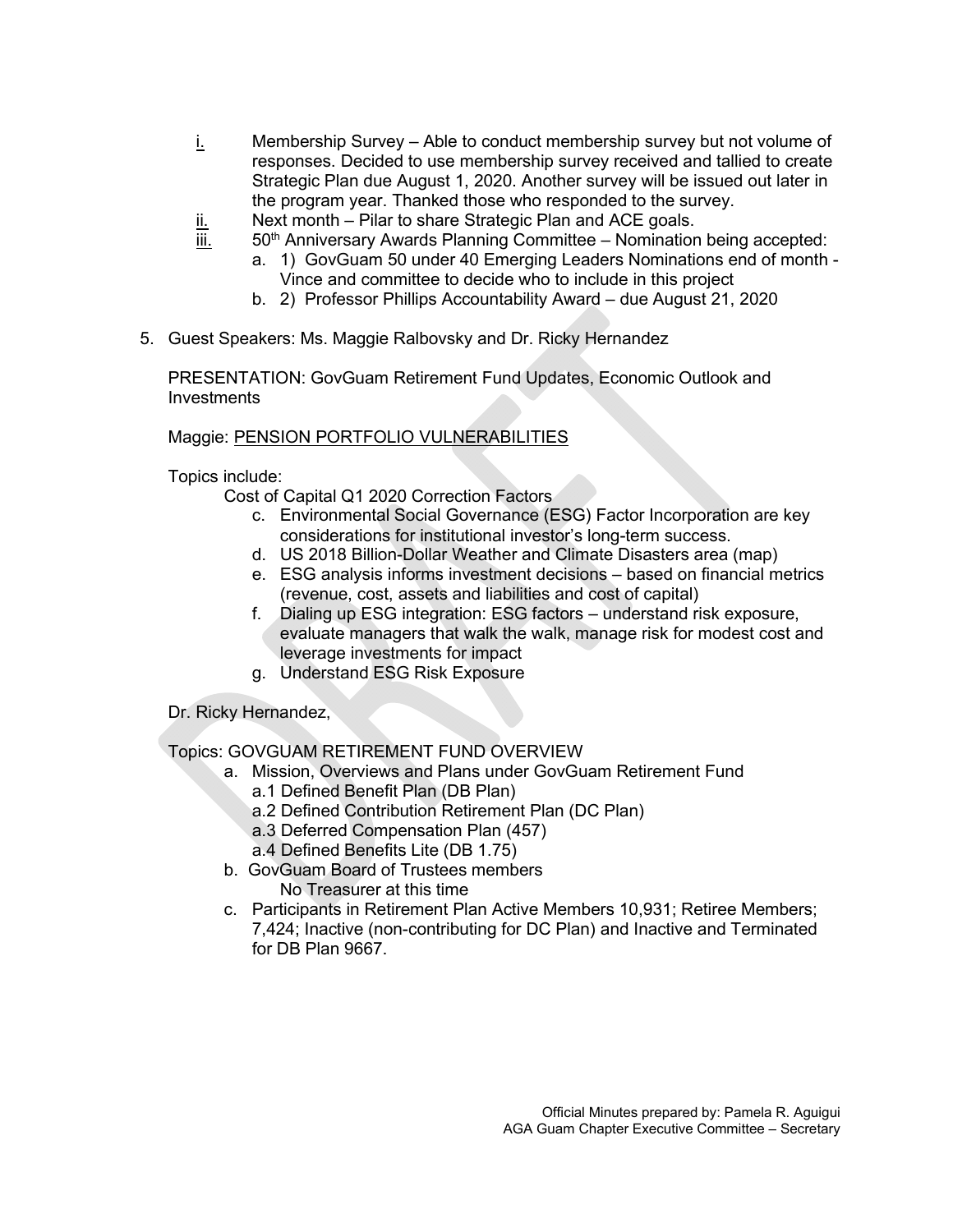- i. Membership Survey Able to conduct membership survey but not volume of responses. Decided to use membership survey received and tallied to create Strategic Plan due August 1, 2020. Another survey will be issued out later in the program year. Thanked those who responded to the survey.
- $\underline{\mathsf{ii}}$ . Next month Pilar to share Strategic Plan and ACE goals.<br>iii. 50<sup>th</sup> Anniversary Awards Planning Committee Nominatior
- 50<sup>th</sup> Anniversary Awards Planning Committee Nomination being accepted:
	- a. 1) GovGuam 50 under 40 Emerging Leaders Nominations end of month Vince and committee to decide who to include in this project
	- b. 2) Professor Phillips Accountability Award due August 21, 2020
- 5. Guest Speakers: Ms. Maggie Ralbovsky and Dr. Ricky Hernandez

PRESENTATION: GovGuam Retirement Fund Updates, Economic Outlook and Investments

## Maggie: PENSION PORTFOLIO VULNERABILITIES

Topics include:

Cost of Capital Q1 2020 Correction Factors

- c. Environmental Social Governance (ESG) Factor Incorporation are key considerations for institutional investor's long-term success.
- d. US 2018 Billion-Dollar Weather and Climate Disasters area (map)
- e. ESG analysis informs investment decisions based on financial metrics (revenue, cost, assets and liabilities and cost of capital)
- f. Dialing up ESG integration: ESG factors understand risk exposure, evaluate managers that walk the walk, manage risk for modest cost and leverage investments for impact
- g. Understand ESG Risk Exposure

Dr. Ricky Hernandez,

## Topics: GOVGUAM RETIREMENT FUND OVERVIEW

- a. Mission, Overviews and Plans under GovGuam Retirement Fund
	- a.1 Defined Benefit Plan (DB Plan)
	- a.2 Defined Contribution Retirement Plan (DC Plan)
	- a.3 Deferred Compensation Plan (457)
	- a.4 Defined Benefits Lite (DB 1.75)
- b. GovGuam Board of Trustees members No Treasurer at this time
- c. Participants in Retirement Plan Active Members 10,931; Retiree Members; 7,424; Inactive (non-contributing for DC Plan) and Inactive and Terminated for DB Plan 9667.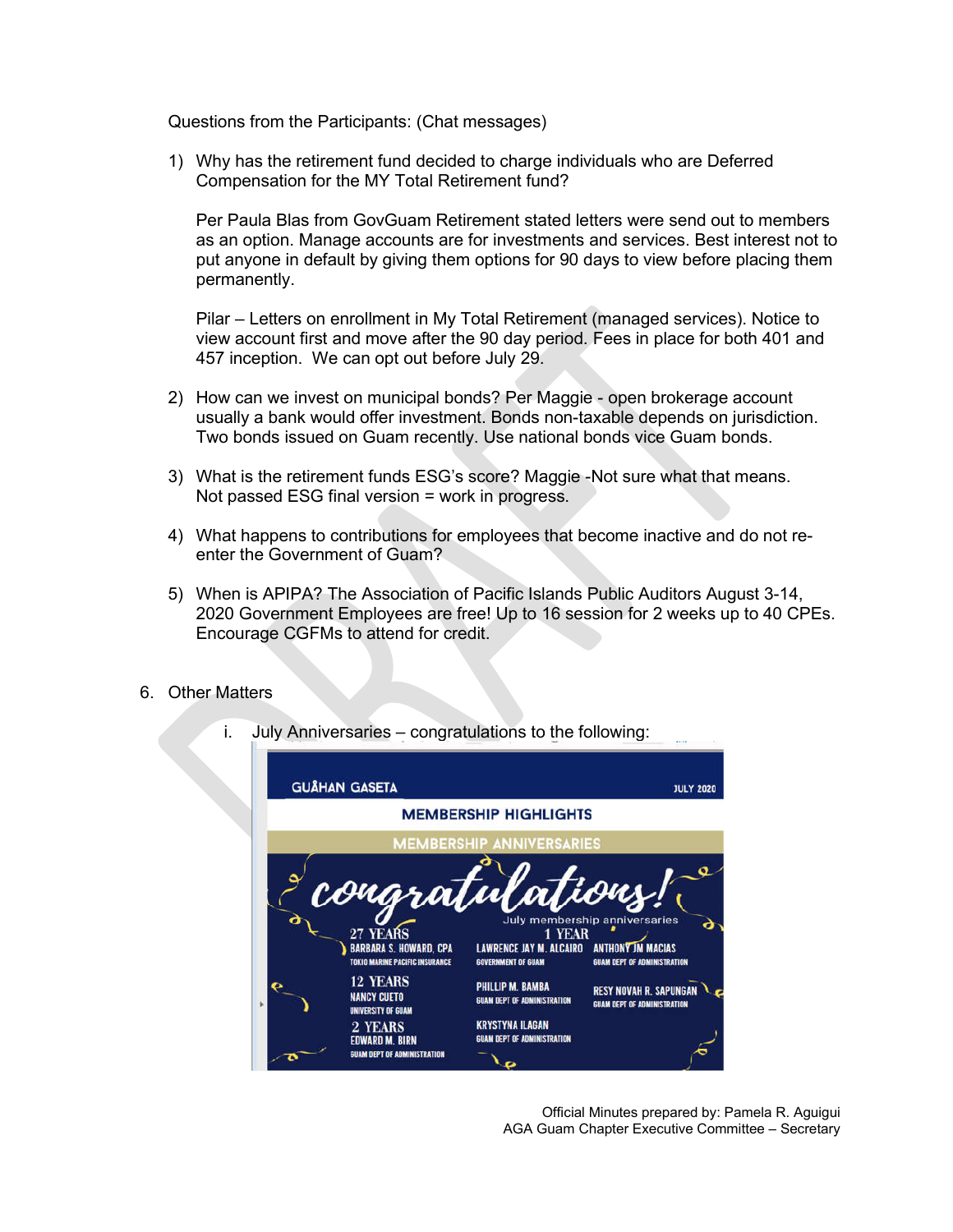Questions from the Participants: (Chat messages)

1) Why has the retirement fund decided to charge individuals who are Deferred Compensation for the MY Total Retirement fund?

Per Paula Blas from GovGuam Retirement stated letters were send out to members as an option. Manage accounts are for investments and services. Best interest not to put anyone in default by giving them options for 90 days to view before placing them permanently.

Pilar – Letters on enrollment in My Total Retirement (managed services). Notice to view account first and move after the 90 day period. Fees in place for both 401 and 457 inception. We can opt out before July 29.

- 2) How can we invest on municipal bonds? Per Maggie open brokerage account usually a bank would offer investment. Bonds non-taxable depends on jurisdiction. Two bonds issued on Guam recently. Use national bonds vice Guam bonds.
- 3) What is the retirement funds ESG's score? Maggie -Not sure what that means. Not passed ESG final version = work in progress.
- 4) What happens to contributions for employees that become inactive and do not reenter the Government of Guam?
- 5) When is APIPA? The Association of Pacific Islands Public Auditors August 3-14, 2020 Government Employees are free! Up to 16 session for 2 weeks up to 40 CPEs. Encourage CGFMs to attend for credit.
- 6. Other Matters



i. July Anniversaries – congratulations to the following:

Official Minutes prepared by: Pamela R. Aguigui AGA Guam Chapter Executive Committee – Secretary